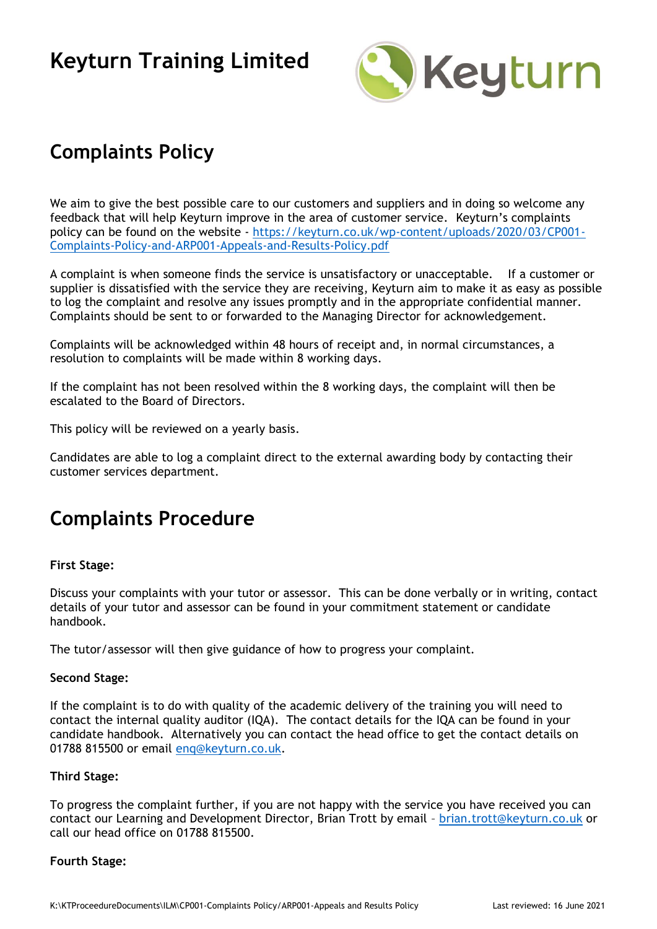

## **Complaints Policy**

We aim to give the best possible care to our customers and suppliers and in doing so welcome any feedback that will help Keyturn improve in the area of customer service. Keyturn's complaints policy can be found on the website - [https://keyturn.co.uk/wp-content/uploads/2020/03/CP001-](https://keyturn.co.uk/wp-content/uploads/2020/03/CP001-Complaints-Policy-and-ARP001-Appeals-and-Results-Policy.pdf) [Complaints-Policy-and-ARP001-Appeals-and-Results-Policy.pdf](https://keyturn.co.uk/wp-content/uploads/2020/03/CP001-Complaints-Policy-and-ARP001-Appeals-and-Results-Policy.pdf)

A complaint is when someone finds the service is unsatisfactory or unacceptable. If a customer or supplier is dissatisfied with the service they are receiving, Keyturn aim to make it as easy as possible to log the complaint and resolve any issues promptly and in the appropriate confidential manner. Complaints should be sent to or forwarded to the Managing Director for acknowledgement.

Complaints will be acknowledged within 48 hours of receipt and, in normal circumstances, a resolution to complaints will be made within 8 working days.

If the complaint has not been resolved within the 8 working days, the complaint will then be escalated to the Board of Directors.

This policy will be reviewed on a yearly basis.

Candidates are able to log a complaint direct to the external awarding body by contacting their customer services department.

## **Complaints Procedure**

### **First Stage:**

Discuss your complaints with your tutor or assessor. This can be done verbally or in writing, contact details of your tutor and assessor can be found in your commitment statement or candidate handbook.

The tutor/assessor will then give guidance of how to progress your complaint.

### **Second Stage:**

If the complaint is to do with quality of the academic delivery of the training you will need to contact the internal quality auditor (IQA). The contact details for the IQA can be found in your candidate handbook. Alternatively you can contact the head office to get the contact details on 01788 815500 or email [enq@keyturn.co.uk.](mailto:enq@keyturn.co.uk)

### **Third Stage:**

To progress the complaint further, if you are not happy with the service you have received you can contact our Learning and Development Director, Brian Trott by email – [brian.trott@keyturn.co.uk](mailto:brian.trott@keyturn.co.uk) or call our head office on 01788 815500.

#### **Fourth Stage:**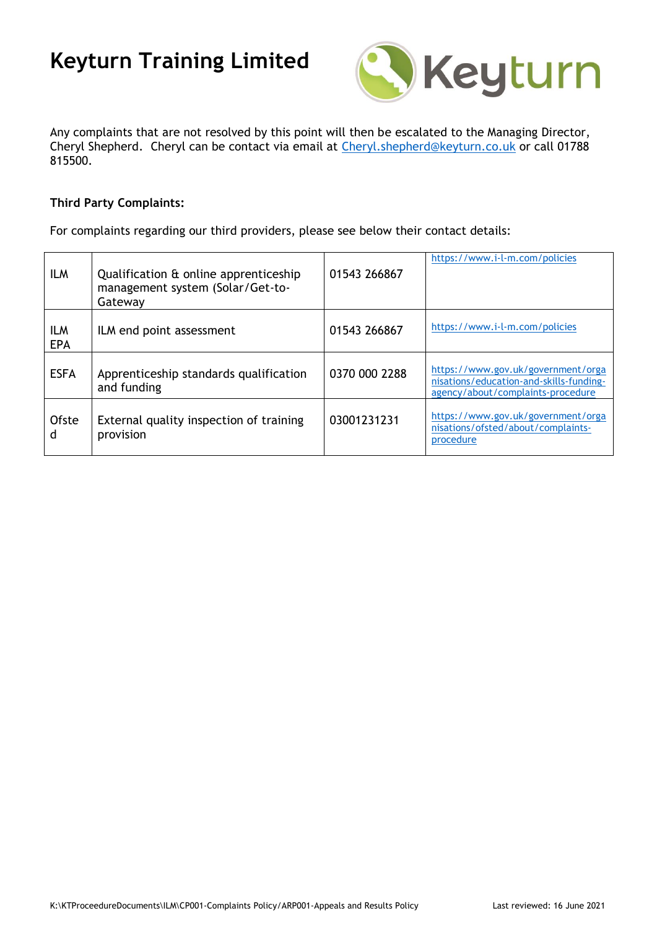

Any complaints that are not resolved by this point will then be escalated to the Managing Director, Cheryl Shepherd. Cheryl can be contact via email at [Cheryl.shepherd@keyturn.co.uk](mailto:Cheryl.shepherd@keyturn.co.uk) or call 01788 815500.

### **Third Party Complaints:**

For complaints regarding our third providers, please see below their contact details:

| <b>ILM</b>               | Qualification & online apprenticeship<br>management system (Solar/Get-to-<br>Gateway | 01543 266867  | https://www.i-l-m.com/policies                                                                                     |
|--------------------------|--------------------------------------------------------------------------------------|---------------|--------------------------------------------------------------------------------------------------------------------|
| <b>ILM</b><br><b>EPA</b> | ILM end point assessment                                                             | 01543 266867  | https://www.i-l-m.com/policies                                                                                     |
| <b>ESFA</b>              | Apprenticeship standards qualification<br>and funding                                | 0370 000 2288 | https://www.gov.uk/government/orga<br>nisations/education-and-skills-funding-<br>agency/about/complaints-procedure |
| Ofste<br>d               | External quality inspection of training<br>provision                                 | 03001231231   | https://www.gov.uk/government/orga<br>nisations/ofsted/about/complaints-<br>procedure                              |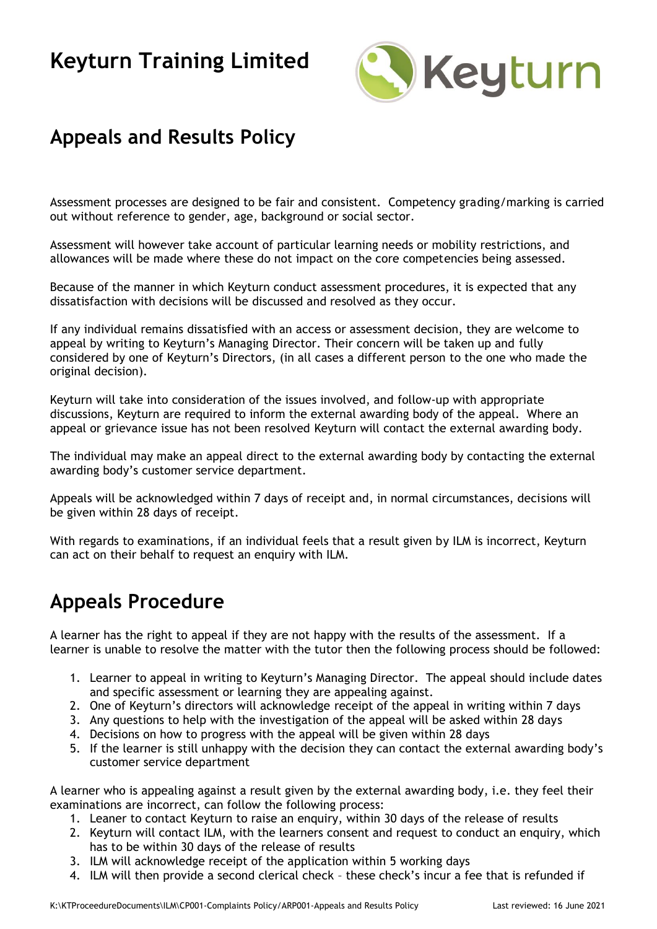

### **Appeals and Results Policy**

Assessment processes are designed to be fair and consistent. Competency grading/marking is carried out without reference to gender, age, background or social sector.

Assessment will however take account of particular learning needs or mobility restrictions, and allowances will be made where these do not impact on the core competencies being assessed.

Because of the manner in which Keyturn conduct assessment procedures, it is expected that any dissatisfaction with decisions will be discussed and resolved as they occur.

If any individual remains dissatisfied with an access or assessment decision, they are welcome to appeal by writing to Keyturn's Managing Director. Their concern will be taken up and fully considered by one of Keyturn's Directors, (in all cases a different person to the one who made the original decision).

Keyturn will take into consideration of the issues involved, and follow-up with appropriate discussions, Keyturn are required to inform the external awarding body of the appeal. Where an appeal or grievance issue has not been resolved Keyturn will contact the external awarding body.

The individual may make an appeal direct to the external awarding body by contacting the external awarding body's customer service department.

Appeals will be acknowledged within 7 days of receipt and, in normal circumstances, decisions will be given within 28 days of receipt.

With regards to examinations, if an individual feels that a result given by ILM is incorrect, Keyturn can act on their behalf to request an enquiry with ILM.

### **Appeals Procedure**

A learner has the right to appeal if they are not happy with the results of the assessment. If a learner is unable to resolve the matter with the tutor then the following process should be followed:

- 1. Learner to appeal in writing to Keyturn's Managing Director. The appeal should include dates and specific assessment or learning they are appealing against.
- 2. One of Keyturn's directors will acknowledge receipt of the appeal in writing within 7 days
- 3. Any questions to help with the investigation of the appeal will be asked within 28 days
- 4. Decisions on how to progress with the appeal will be given within 28 days
- 5. If the learner is still unhappy with the decision they can contact the external awarding body's customer service department

A learner who is appealing against a result given by the external awarding body, i.e. they feel their examinations are incorrect, can follow the following process:

- 1. Leaner to contact Keyturn to raise an enquiry, within 30 days of the release of results
- 2. Keyturn will contact ILM, with the learners consent and request to conduct an enquiry, which has to be within 30 days of the release of results
- 3. ILM will acknowledge receipt of the application within 5 working days
- 4. ILM will then provide a second clerical check these check's incur a fee that is refunded if